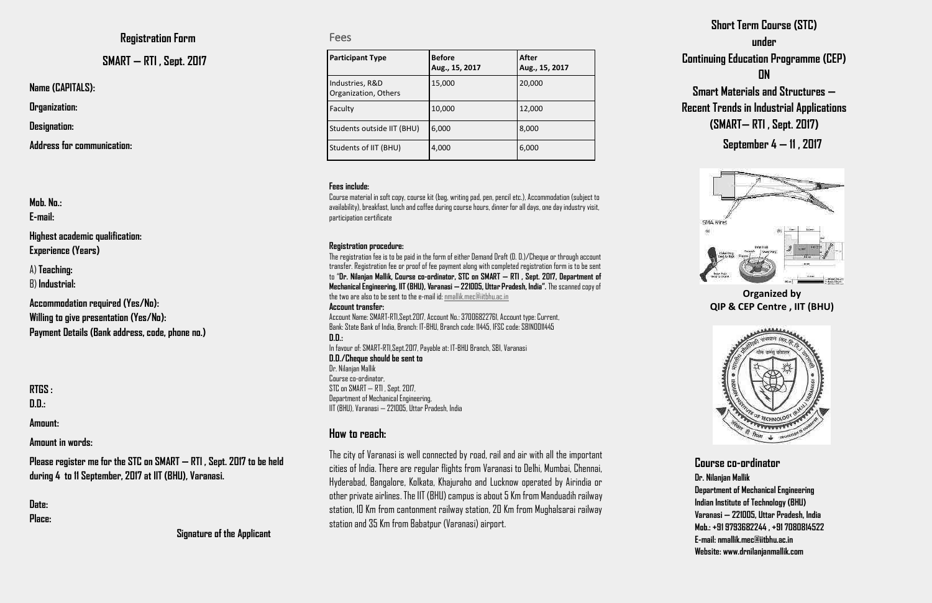| <b>Participant Type</b>                 | <b>Before</b><br>Aug., 15, 2017 | After<br>Aug., 15, 2017 |
|-----------------------------------------|---------------------------------|-------------------------|
| Industries, R&D<br>Organization, Others | 15,000                          | 20,000                  |
| Faculty                                 | 10,000                          | 12,000                  |
| Students outside IIT (BHU)              | 6,000                           | 8,000                   |
| Students of IIT (BHU)                   | 4,000                           | 6,000                   |

**Name (CAPITALS):** 

**Organization:** 

**Designation:** 

**Address for communication:** 

| Mab. No.:<br>E-mail:                                                              |
|-----------------------------------------------------------------------------------|
| Highest academic qualification:<br><b>Experience (Years)</b>                      |
| A) Teaching:<br>B) Industrial:                                                    |
| <b>Accommodation required (Yes/No):</b><br>Willing to give presentation (Yes/No): |

**Willing to give presentation (Yes/No): Payment Details (Bank address, code, phone no.)** 

**RTGS : D.D.:** 

#### **Amount:**

**Amount in words:** 

**Please register me for the STC on SMART — RTI , Sept. 2017 to be held during 4 to 11 September, 2017 at IIT (BHU), Varanasi.** 

**Date: Place:** 

#### **Registration Form**

### **SMART — RTI , Sept. 2017**

Fees

#### **Fees include:**

Course material in soft copy, course kit (bag, writing pad, pen, pencil etc.), Accommodation (subject to availability), breakfast, lunch and coffee during course hours, dinner for all days, one day industry visit, participation certificate

#### **Registration procedure:**

The registration fee is to be paid in the form of either Demand Draft (D. D.)/Cheque or through account transfer. Registration fee or proof of fee payment along with completed registration form is to be sent to "**Dr. Nilanjan Mallik, Course co-ordinator, STC on SMART — RTI , Sept. 2017, Department of Mechanical Engineering, IIT (BHU), Varanasi —221005, Uttar Pradesh, India".** The scanned copy of the two are also to be sent to the e-mail id[: nmallik.mec@iitbhu.ac.in](mailto:nmallik.mec@iitbhu.ac.in)  **Account transfer:**

Account Name: SMART-RTI,Sept.2017, Account No.: 37006822761, Account type: Current, Bank: State Bank of India, Branch: IT-BHU, Branch code: 11445, IFSC code: SBIN0011445 **D.D.:** 

In favour of: SMART-RTI,Sept.2017, Payable at: IT-BHU Branch, SBI, Varanasi

**D.D./Cheque should be sent to** Dr. Nilanjan Mallik Course co-ordinator, STC on SMART — RTI , Sept. 2017, Department of Mechanical Engineering, IIT (BHU), Varanasi — 221005, Uttar Pradesh, India

### **How to reach:**

The city of Varanasi is well connected by road, rail and air with all the important cities of India. There are regular flights from Varanasi to Delhi, Mumbai, Chennai, Hyderabad, Bangalore, Kolkata, Khajuraho and Lucknow operated by Airindia or other private airlines. The IIT (BHU) campus is about 5 Km from Manduadih railway station, 10 Km from cantonment railway station, 20 Km from Mughalsarai railway station and 35 Km from Babatpur (Varanasi) airport.

# **Short Term Course (STC) under Continuing Education Programme (CEP) ON Smart Materials and Structures —**

**Recent Trends in Industrial Applications (SMART— RTI , Sept. 2017)** 

**September 4 — 11 , 2017** 



**Organized by QIP & CEP Centre , IIT (BHU)** 



### **Course co-ordinator**

**Dr. Nilanjan Mallik Department of Mechanical Engineering Indian Institute of Technology (BHU) Varanasi — 221005, Uttar Pradesh, India Mob.: +91 9793682244 , +91 7080814522 E-mail: nmallik.mec@iitbhu.ac.in Website: www.drnilanjanmallik.com**